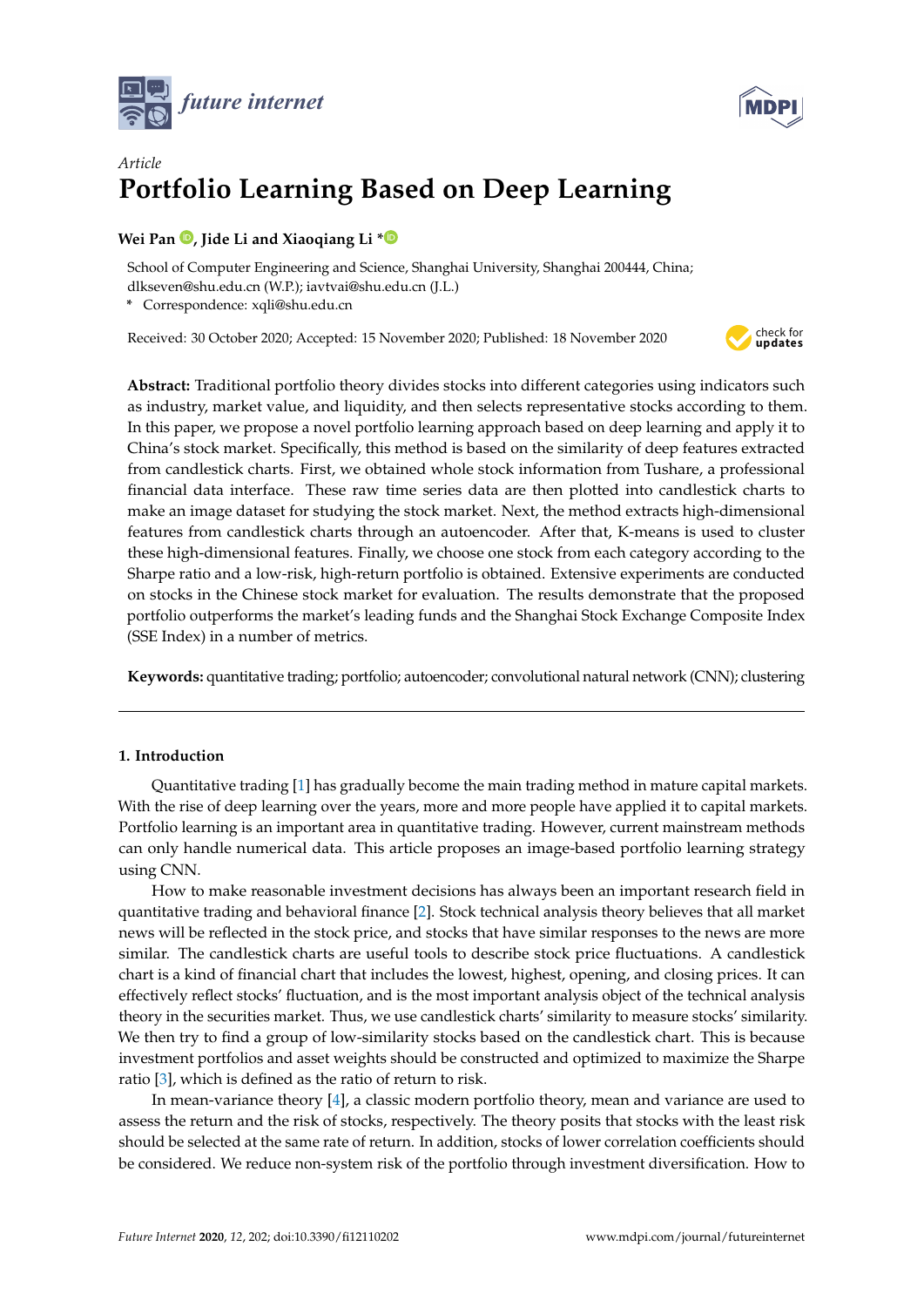



# *Article* **Portfolio Learning Based on Deep Learning**

# **Wei Pan [,](https://orcid.org/0000-0003-4825-5988) Jide Li and Xiaoqiang Li [\\*](https://orcid.org/0000-0001-7243-2783)**

School of Computer Engineering and Science, Shanghai University, Shanghai 200444, China; dlkseven@shu.edu.cn (W.P.); iavtvai@shu.edu.cn (J.L.)

**\*** Correspondence: xqli@shu.edu.cn

Received: 30 October 2020; Accepted: 15 November 2020; Published: 18 November 2020



**Abstract:** Traditional portfolio theory divides stocks into different categories using indicators such as industry, market value, and liquidity, and then selects representative stocks according to them. In this paper, we propose a novel portfolio learning approach based on deep learning and apply it to China's stock market. Specifically, this method is based on the similarity of deep features extracted from candlestick charts. First, we obtained whole stock information from Tushare, a professional financial data interface. These raw time series data are then plotted into candlestick charts to make an image dataset for studying the stock market. Next, the method extracts high-dimensional features from candlestick charts through an autoencoder. After that, K-means is used to cluster these high-dimensional features. Finally, we choose one stock from each category according to the Sharpe ratio and a low-risk, high-return portfolio is obtained. Extensive experiments are conducted on stocks in the Chinese stock market for evaluation. The results demonstrate that the proposed portfolio outperforms the market's leading funds and the Shanghai Stock Exchange Composite Index (SSE Index) in a number of metrics.

**Keywords:** quantitative trading; portfolio; autoencoder; convolutional natural network (CNN); clustering

# **1. Introduction**

Quantitative trading [\[1\]](#page-10-0) has gradually become the main trading method in mature capital markets. With the rise of deep learning over the years, more and more people have applied it to capital markets. Portfolio learning is an important area in quantitative trading. However, current mainstream methods can only handle numerical data. This article proposes an image-based portfolio learning strategy using CNN.

How to make reasonable investment decisions has always been an important research field in quantitative trading and behavioral finance [\[2\]](#page-10-1). Stock technical analysis theory believes that all market news will be reflected in the stock price, and stocks that have similar responses to the news are more similar. The candlestick charts are useful tools to describe stock price fluctuations. A candlestick chart is a kind of financial chart that includes the lowest, highest, opening, and closing prices. It can effectively reflect stocks' fluctuation, and is the most important analysis object of the technical analysis theory in the securities market. Thus, we use candlestick charts' similarity to measure stocks' similarity. We then try to find a group of low-similarity stocks based on the candlestick chart. This is because investment portfolios and asset weights should be constructed and optimized to maximize the Sharpe ratio [\[3\]](#page-10-2), which is defined as the ratio of return to risk.

In mean-variance theory [\[4\]](#page-10-3), a classic modern portfolio theory, mean and variance are used to assess the return and the risk of stocks, respectively. The theory posits that stocks with the least risk should be selected at the same rate of return. In addition, stocks of lower correlation coefficients should be considered. We reduce non-system risk of the portfolio through investment diversification. How to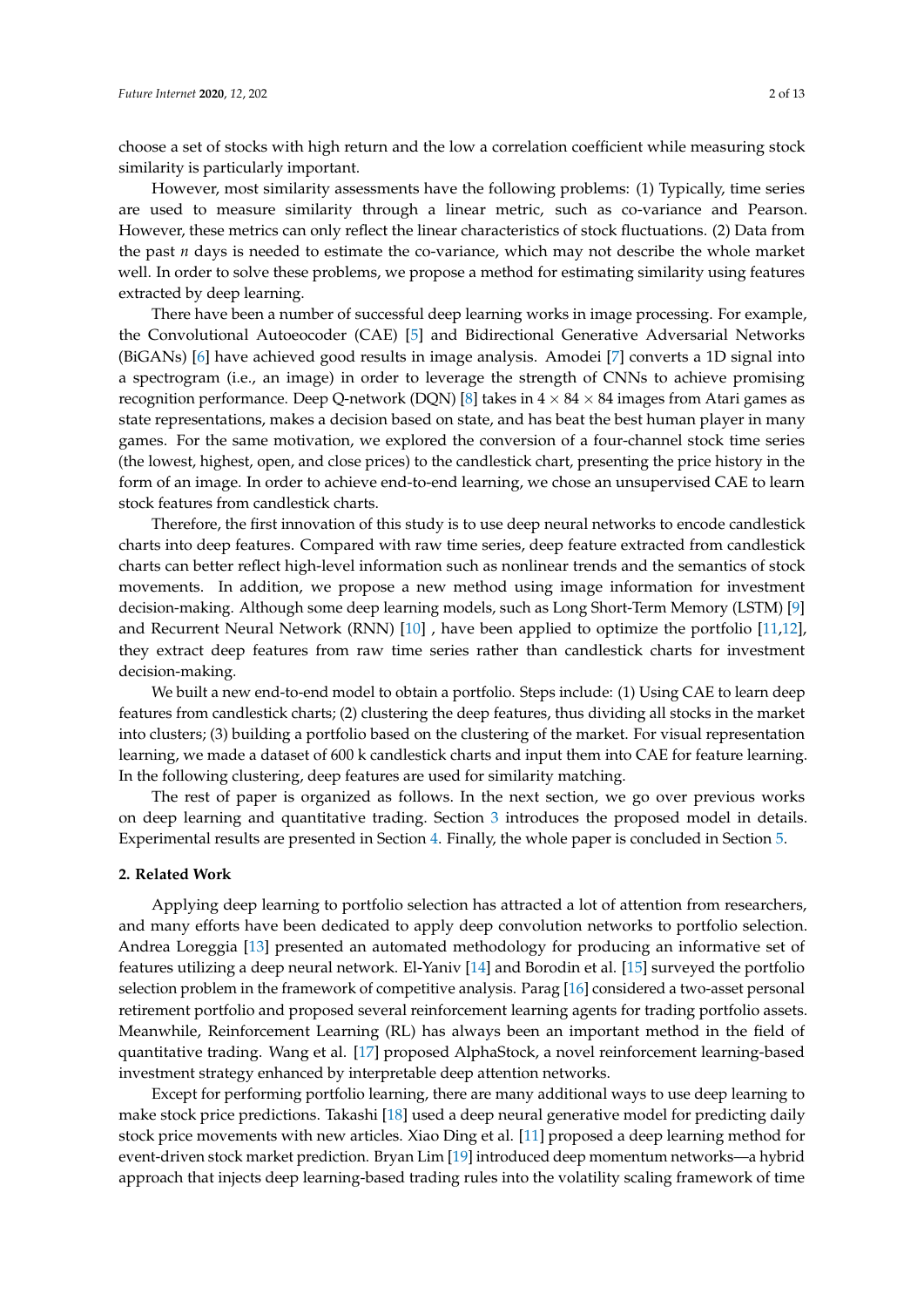choose a set of stocks with high return and the low a correlation coefficient while measuring stock similarity is particularly important.

However, most similarity assessments have the following problems: (1) Typically, time series are used to measure similarity through a linear metric, such as co-variance and Pearson. However, these metrics can only reflect the linear characteristics of stock fluctuations. (2) Data from the past *n* days is needed to estimate the co-variance, which may not describe the whole market well. In order to solve these problems, we propose a method for estimating similarity using features extracted by deep learning.

There have been a number of successful deep learning works in image processing. For example, the Convolutional Autoeocoder (CAE) [\[5\]](#page-10-4) and Bidirectional Generative Adversarial Networks (BiGANs) [\[6\]](#page-11-0) have achieved good results in image analysis. Amodei [\[7\]](#page-11-1) converts a 1D signal into a spectrogram (i.e., an image) in order to leverage the strength of CNNs to achieve promising recognition performance. Deep Q-network (DQN) [\[8\]](#page-11-2) takes in  $4 \times 84 \times 84$  images from Atari games as state representations, makes a decision based on state, and has beat the best human player in many games. For the same motivation, we explored the conversion of a four-channel stock time series (the lowest, highest, open, and close prices) to the candlestick chart, presenting the price history in the form of an image. In order to achieve end-to-end learning, we chose an unsupervised CAE to learn stock features from candlestick charts.

Therefore, the first innovation of this study is to use deep neural networks to encode candlestick charts into deep features. Compared with raw time series, deep feature extracted from candlestick charts can better reflect high-level information such as nonlinear trends and the semantics of stock movements. In addition, we propose a new method using image information for investment decision-making. Although some deep learning models, such as Long Short-Term Memory (LSTM) [\[9\]](#page-11-3) and Recurrent Neural Network (RNN) [\[10\]](#page-11-4) , have been applied to optimize the portfolio [\[11,](#page-11-5)[12\]](#page-11-6), they extract deep features from raw time series rather than candlestick charts for investment decision-making.

We built a new end-to-end model to obtain a portfolio. Steps include: (1) Using CAE to learn deep features from candlestick charts; (2) clustering the deep features, thus dividing all stocks in the market into clusters; (3) building a portfolio based on the clustering of the market. For visual representation learning, we made a dataset of 600 k candlestick charts and input them into CAE for feature learning. In the following clustering, deep features are used for similarity matching.

The rest of paper is organized as follows. In the next section, we go over previous works on deep learning and quantitative trading. Section [3](#page-2-0) introduces the proposed model in details. Experimental results are presented in Section [4.](#page-6-0) Finally, the whole paper is concluded in Section [5.](#page-10-5)

#### **2. Related Work**

Applying deep learning to portfolio selection has attracted a lot of attention from researchers, and many efforts have been dedicated to apply deep convolution networks to portfolio selection. Andrea Loreggia [\[13\]](#page-11-7) presented an automated methodology for producing an informative set of features utilizing a deep neural network. El-Yaniv [\[14\]](#page-11-8) and Borodin et al. [\[15\]](#page-11-9) surveyed the portfolio selection problem in the framework of competitive analysis. Parag [\[16\]](#page-11-10) considered a two-asset personal retirement portfolio and proposed several reinforcement learning agents for trading portfolio assets. Meanwhile, Reinforcement Learning (RL) has always been an important method in the field of quantitative trading. Wang et al. [\[17\]](#page-11-11) proposed AlphaStock, a novel reinforcement learning-based investment strategy enhanced by interpretable deep attention networks.

Except for performing portfolio learning, there are many additional ways to use deep learning to make stock price predictions. Takashi [\[18\]](#page-11-12) used a deep neural generative model for predicting daily stock price movements with new articles. Xiao Ding et al. [\[11\]](#page-11-5) proposed a deep learning method for event-driven stock market prediction. Bryan Lim [\[19\]](#page-11-13) introduced deep momentum networks—a hybrid approach that injects deep learning-based trading rules into the volatility scaling framework of time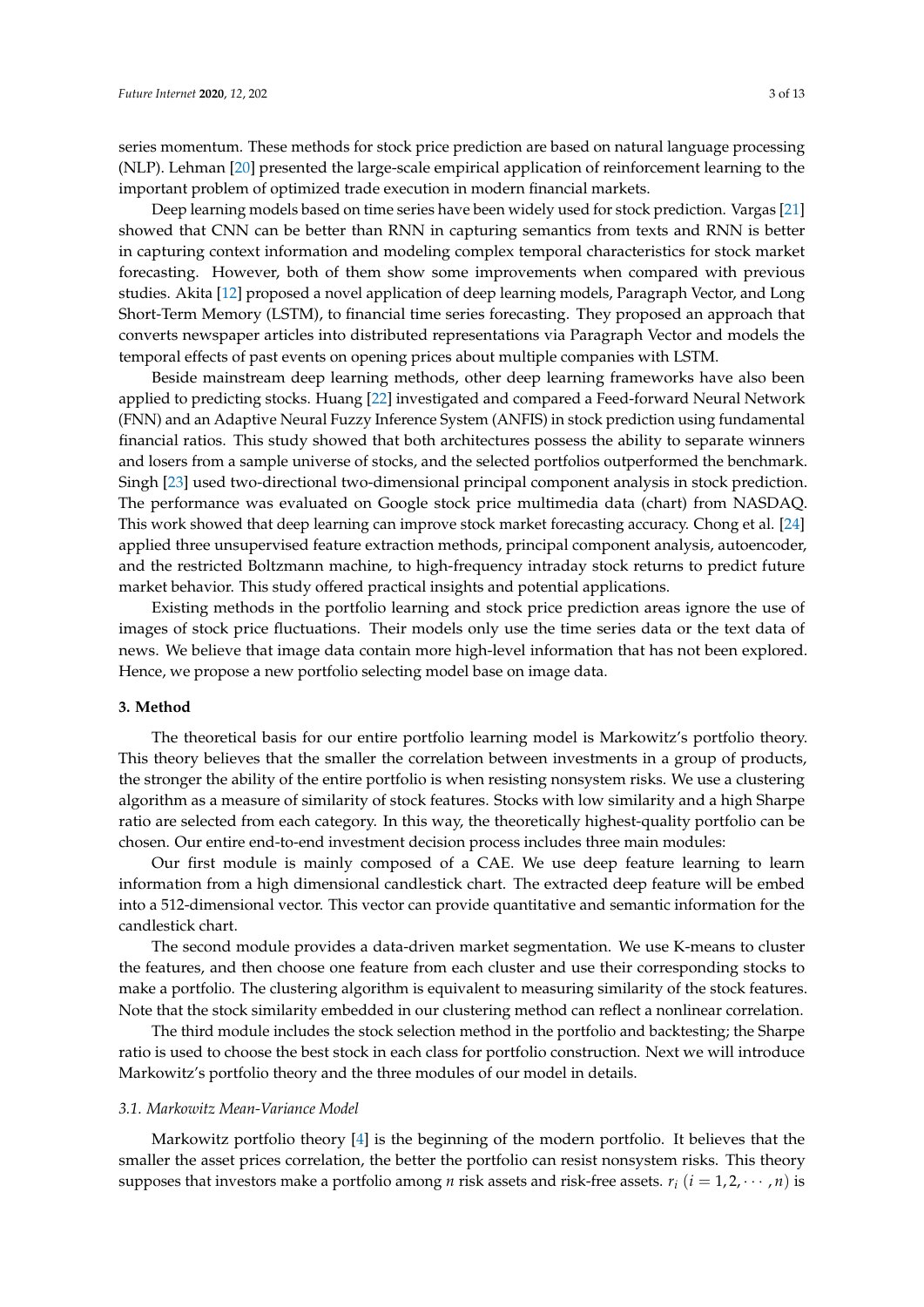series momentum. These methods for stock price prediction are based on natural language processing (NLP). Lehman [\[20\]](#page-11-14) presented the large-scale empirical application of reinforcement learning to the important problem of optimized trade execution in modern financial markets.

Deep learning models based on time series have been widely used for stock prediction. Vargas [\[21\]](#page-11-15) showed that CNN can be better than RNN in capturing semantics from texts and RNN is better in capturing context information and modeling complex temporal characteristics for stock market forecasting. However, both of them show some improvements when compared with previous studies. Akita [\[12\]](#page-11-6) proposed a novel application of deep learning models, Paragraph Vector, and Long Short-Term Memory (LSTM), to financial time series forecasting. They proposed an approach that converts newspaper articles into distributed representations via Paragraph Vector and models the temporal effects of past events on opening prices about multiple companies with LSTM.

Beside mainstream deep learning methods, other deep learning frameworks have also been applied to predicting stocks. Huang [\[22\]](#page-11-16) investigated and compared a Feed-forward Neural Network (FNN) and an Adaptive Neural Fuzzy Inference System (ANFIS) in stock prediction using fundamental financial ratios. This study showed that both architectures possess the ability to separate winners and losers from a sample universe of stocks, and the selected portfolios outperformed the benchmark. Singh [\[23\]](#page-11-17) used two-directional two-dimensional principal component analysis in stock prediction. The performance was evaluated on Google stock price multimedia data (chart) from NASDAQ. This work showed that deep learning can improve stock market forecasting accuracy. Chong et al. [\[24\]](#page-11-18) applied three unsupervised feature extraction methods, principal component analysis, autoencoder, and the restricted Boltzmann machine, to high-frequency intraday stock returns to predict future market behavior. This study offered practical insights and potential applications.

Existing methods in the portfolio learning and stock price prediction areas ignore the use of images of stock price fluctuations. Their models only use the time series data or the text data of news. We believe that image data contain more high-level information that has not been explored. Hence, we propose a new portfolio selecting model base on image data.

# <span id="page-2-0"></span>**3. Method**

The theoretical basis for our entire portfolio learning model is Markowitz's portfolio theory. This theory believes that the smaller the correlation between investments in a group of products, the stronger the ability of the entire portfolio is when resisting nonsystem risks. We use a clustering algorithm as a measure of similarity of stock features. Stocks with low similarity and a high Sharpe ratio are selected from each category. In this way, the theoretically highest-quality portfolio can be chosen. Our entire end-to-end investment decision process includes three main modules:

Our first module is mainly composed of a CAE. We use deep feature learning to learn information from a high dimensional candlestick chart. The extracted deep feature will be embed into a 512-dimensional vector. This vector can provide quantitative and semantic information for the candlestick chart.

The second module provides a data-driven market segmentation. We use K-means to cluster the features, and then choose one feature from each cluster and use their corresponding stocks to make a portfolio. The clustering algorithm is equivalent to measuring similarity of the stock features. Note that the stock similarity embedded in our clustering method can reflect a nonlinear correlation.

The third module includes the stock selection method in the portfolio and backtesting; the Sharpe ratio is used to choose the best stock in each class for portfolio construction. Next we will introduce Markowitz's portfolio theory and the three modules of our model in details.

#### *3.1. Markowitz Mean-Variance Model*

Markowitz portfolio theory [\[4\]](#page-10-3) is the beginning of the modern portfolio. It believes that the smaller the asset prices correlation, the better the portfolio can resist nonsystem risks. This theory supposes that investors make a portfolio among *n* risk assets and risk-free assets.  $r_i$  ( $i = 1, 2, \cdots, n$ ) is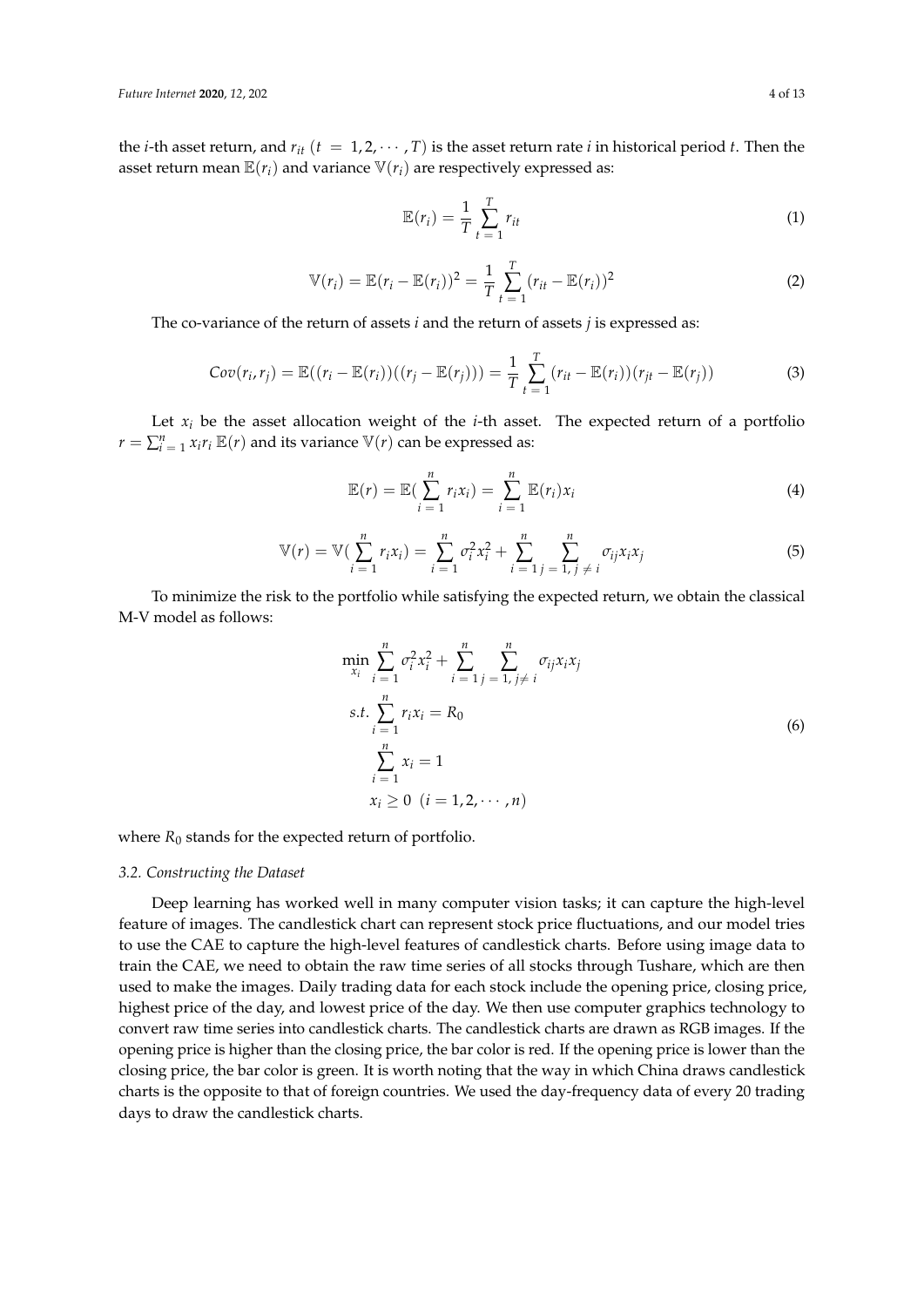the *i*-th asset return, and  $r_{it}$  ( $t = 1, 2, \cdots, T$ ) is the asset return rate *i* in historical period *t*. Then the asset return mean  $\mathbb{E}(r_i)$  and variance  $\mathbb{V}(r_i)$  are respectively expressed as:

$$
\mathbb{E}(r_i) = \frac{1}{T} \sum_{t=1}^{T} r_{it} \tag{1}
$$

$$
\mathbb{V}(r_i) = \mathbb{E}(r_i - \mathbb{E}(r_i))^2 = \frac{1}{T} \sum_{t=1}^T (r_{it} - \mathbb{E}(r_i))^2
$$
 (2)

The co-variance of the return of assets *i* and the return of assets *j* is expressed as:

$$
Cov(r_i, r_j) = \mathbb{E}((r_i - \mathbb{E}(r_i))((r_j - \mathbb{E}(r_j))) = \frac{1}{T} \sum_{t=1}^{T} (r_{it} - \mathbb{E}(r_i)) (r_{jt} - \mathbb{E}(r_j))
$$
(3)

Let  $x_i$  be the asset allocation weight of the *i*-th asset. The expected return of a portfolio  $r = \sum_{i=1}^{n} x_i r_i \mathbb{E}(r)$  and its variance  $\mathbb{V}(r)$  can be expressed as:

$$
\mathbb{E}(r) = \mathbb{E}\left(\sum_{i=1}^{n} r_i x_i\right) = \sum_{i=1}^{n} \mathbb{E}(r_i) x_i
$$
\n(4)

$$
\mathbb{V}(r) = \mathbb{V}\left(\sum_{i=1}^{n} r_i x_i\right) = \sum_{i=1}^{n} \sigma_i^2 x_i^2 + \sum_{i=1}^{n} \sum_{j=1, j \neq i}^{n} \sigma_{ij} x_i x_j \tag{5}
$$

To minimize the risk to the portfolio while satisfying the expected return, we obtain the classical M-V model as follows:

$$
\min_{x_i} \sum_{i=1}^n \sigma_i^2 x_i^2 + \sum_{i=1}^n \sum_{j=1, j \neq i}^n \sigma_{ij} x_i x_j
$$
\n
$$
s.t. \sum_{i=1}^n r_i x_i = R_0
$$
\n
$$
\sum_{i=1}^n x_i = 1
$$
\n
$$
x_i \ge 0 \ (i = 1, 2, \dots, n)
$$
\n(6)

where  $R_0$  stands for the expected return of portfolio.

# *3.2. Constructing the Dataset*

Deep learning has worked well in many computer vision tasks; it can capture the high-level feature of images. The candlestick chart can represent stock price fluctuations, and our model tries to use the CAE to capture the high-level features of candlestick charts. Before using image data to train the CAE, we need to obtain the raw time series of all stocks through Tushare, which are then used to make the images. Daily trading data for each stock include the opening price, closing price, highest price of the day, and lowest price of the day. We then use computer graphics technology to convert raw time series into candlestick charts. The candlestick charts are drawn as RGB images. If the opening price is higher than the closing price, the bar color is red. If the opening price is lower than the closing price, the bar color is green. It is worth noting that the way in which China draws candlestick charts is the opposite to that of foreign countries. We used the day-frequency data of every 20 trading days to draw the candlestick charts.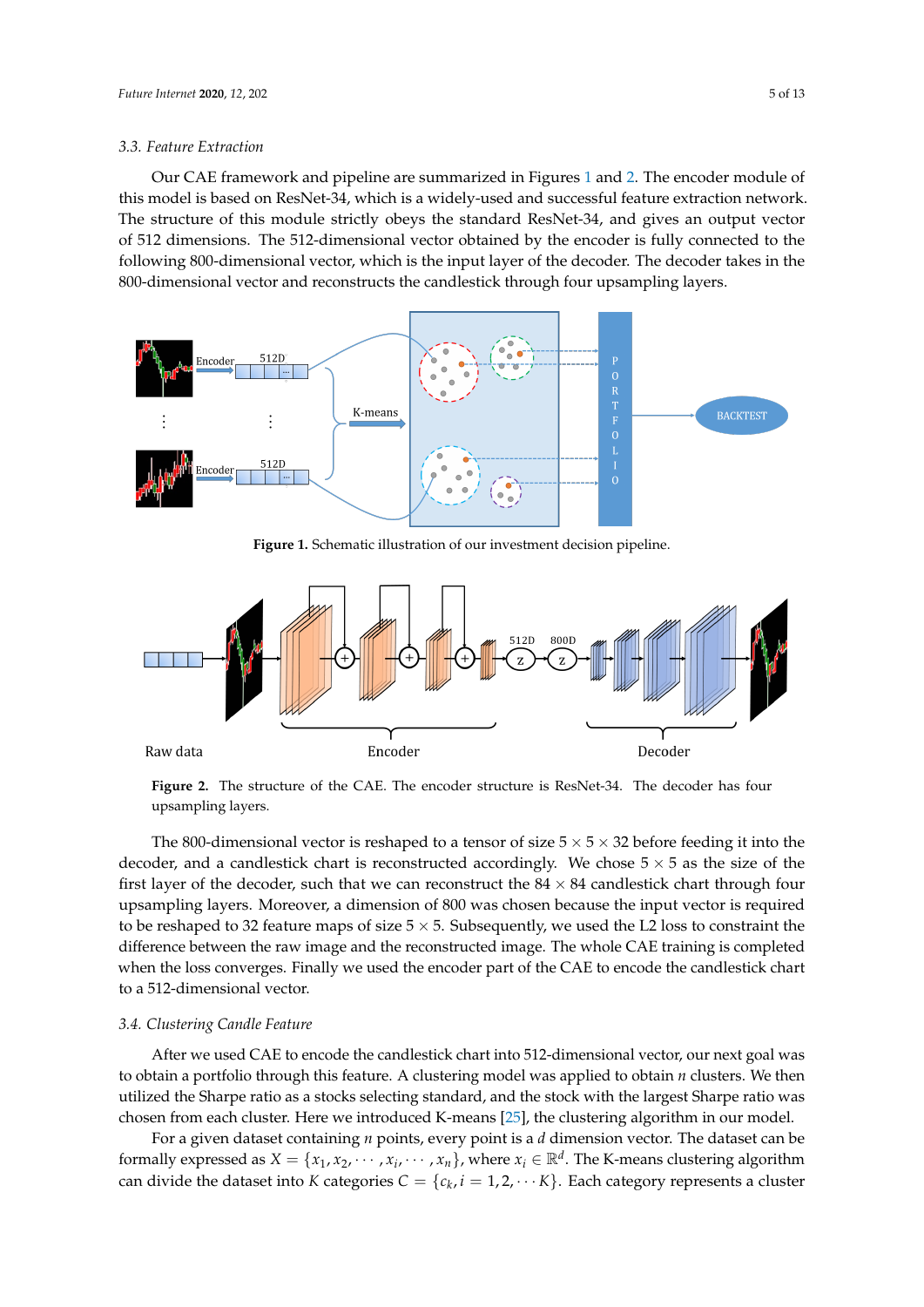#### *3.3. Feature Extraction*

Our CAE framework and pipeline are summarized in Figures [1](#page-4-0) and [2.](#page-4-1) The encoder module of this model is based on ResNet-34, which is a widely-used and successful feature extraction network. The structure of this module strictly obeys the standard ResNet-34, and gives an output vector of 512 dimensions. The 512-dimensional vector obtained by the encoder is fully connected to the following 800-dimensional vector, which is the input layer of the decoder. The decoder takes in the 800-dimensional vector and reconstructs the candlestick through four upsampling layers.

<span id="page-4-0"></span>

**Figure 1.** Schematic illustration of our investment decision pipeline.

<span id="page-4-1"></span>

**Figure 2.** The structure of the CAE. The encoder structure is ResNet-34. The decoder has four upsampling layers.

The 800-dimensional vector is reshaped to a tensor of size  $5 \times 5 \times 32$  before feeding it into the decoder, and a candlestick chart is reconstructed accordingly. We chose  $5 \times 5$  as the size of the first layer of the decoder, such that we can reconstruct the  $84 \times 84$  candlestick chart through four upsampling layers. Moreover, a dimension of 800 was chosen because the input vector is required to be reshaped to 32 feature maps of size  $5 \times 5$ . Subsequently, we used the L2 loss to constraint the difference between the raw image and the reconstructed image. The whole CAE training is completed when the loss converges. Finally we used the encoder part of the CAE to encode the candlestick chart to a 512-dimensional vector.

#### *3.4. Clustering Candle Feature*

After we used CAE to encode the candlestick chart into 512-dimensional vector, our next goal was to obtain a portfolio through this feature. A clustering model was applied to obtain *n* clusters. We then utilized the Sharpe ratio as a stocks selecting standard, and the stock with the largest Sharpe ratio was chosen from each cluster. Here we introduced K-means [\[25\]](#page-11-19), the clustering algorithm in our model.

For a given dataset containing *n* points, every point is a *d* dimension vector. The dataset can be formally expressed as  $X = \{x_1, x_2, \cdots, x_i, \cdots, x_n\}$ , where  $x_i \in \mathbb{R}^d$ . The K-means clustering algorithm can divide the dataset into *K* categories  $C = \{c_k, i = 1, 2, \cdots K\}$ . Each category represents a cluster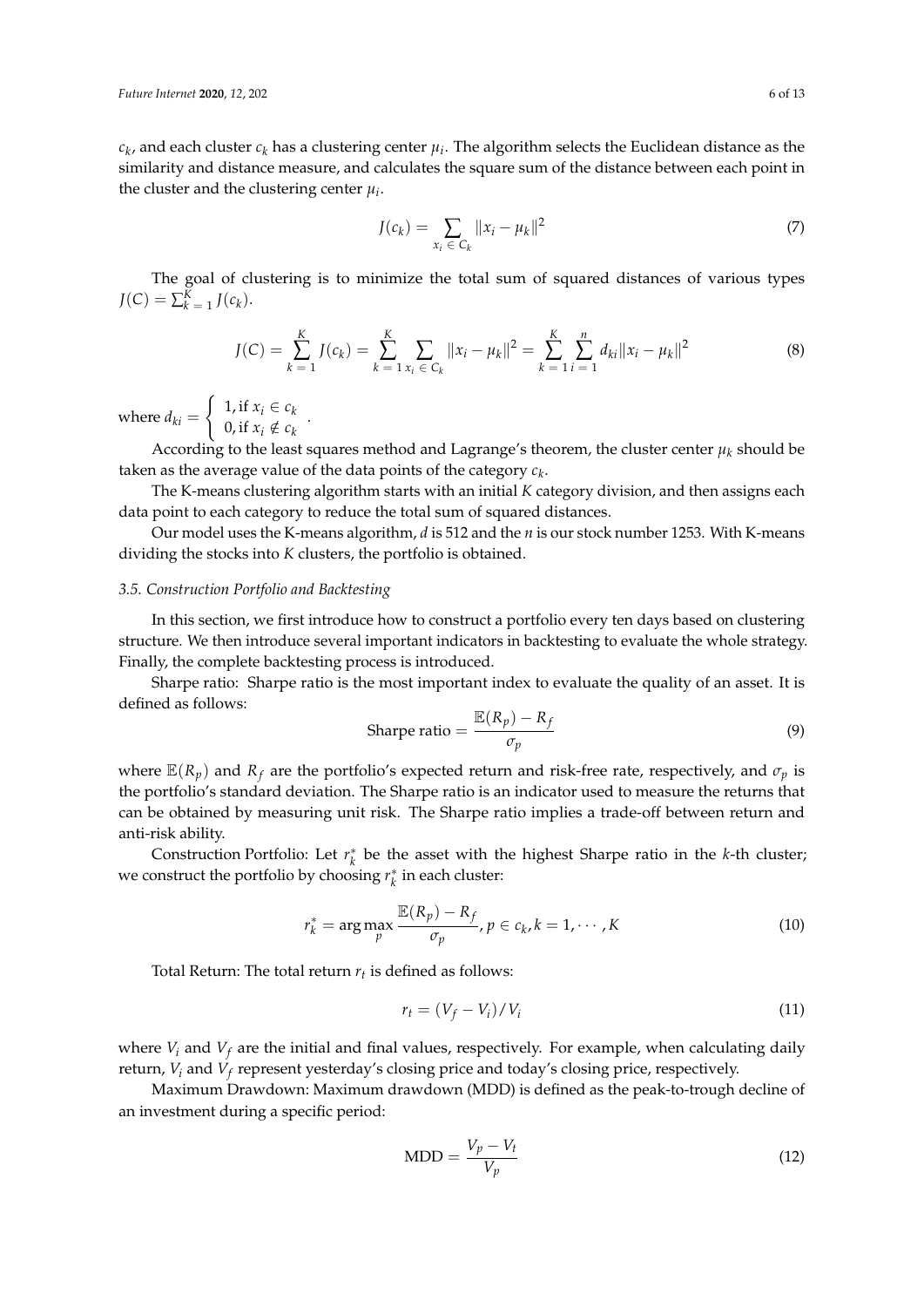$c_k$ , and each cluster  $c_k$  has a clustering center  $\mu_i.$  The algorithm selects the Euclidean distance as the similarity and distance measure, and calculates the square sum of the distance between each point in the cluster and the clustering center  $\mu_i$ .

$$
J(c_k) = \sum_{x_i \in C_k} ||x_i - \mu_k||^2
$$
 (7)

The goal of clustering is to minimize the total sum of squared distances of various types  $J(C) = \sum_{k=1}^{K} J(c_k).$ 

$$
J(C) = \sum_{k=1}^{K} J(c_k) = \sum_{k=1}^{K} \sum_{x_i \in C_k} ||x_i - \mu_k||^2 = \sum_{k=1}^{K} \sum_{i=1}^{n} d_{ki} ||x_i - \mu_k||^2
$$
(8)

where  $d_{ki} =$  $\int 1$ , if  $x_i \in c_k$ 0, if  $x_i \notin c_k$ 

According to the least squares method and Lagrange's theorem, the cluster center  $\mu_k$  should be taken as the average value of the data points of the category *c<sup>k</sup>* .

The K-means clustering algorithm starts with an initial *K* category division, and then assigns each data point to each category to reduce the total sum of squared distances.

Our model uses the K-means algorithm, *d* is 512 and the *n* is our stock number 1253. With K-means dividing the stocks into *K* clusters, the portfolio is obtained.

#### *3.5. Construction Portfolio and Backtesting*

In this section, we first introduce how to construct a portfolio every ten days based on clustering structure. We then introduce several important indicators in backtesting to evaluate the whole strategy. Finally, the complete backtesting process is introduced.

Sharpe ratio: Sharpe ratio is the most important index to evaluate the quality of an asset. It is defined as follows:

$$
\text{Sharpe ratio} = \frac{\mathbb{E}(R_p) - R_f}{\sigma_p} \tag{9}
$$

where  $\mathbb{E}(R_p)$  and  $R_f$  are the portfolio's expected return and risk-free rate, respectively, and  $\sigma_p$  is the portfolio's standard deviation. The Sharpe ratio is an indicator used to measure the returns that can be obtained by measuring unit risk. The Sharpe ratio implies a trade-off between return and anti-risk ability.

Construction Portfolio: Let *r* ∗ *k* be the asset with the highest Sharpe ratio in the *k*-th cluster; we construct the portfolio by choosing  $r_k^*$  in each cluster:

$$
r_k^* = \arg\max_p \frac{\mathbb{E}(R_p) - R_f}{\sigma_p}, p \in c_k, k = 1, \cdots, K
$$
 (10)

Total Return: The total return *r<sup>t</sup>* is defined as follows:

$$
r_t = (V_f - V_i) / V_i \tag{11}
$$

where  $V_i$  and  $V_f$  are the initial and final values, respectively. For example, when calculating daily return, *V<sup>i</sup>* and *V<sup>f</sup>* represent yesterday's closing price and today's closing price, respectively.

Maximum Drawdown: Maximum drawdown (MDD) is defined as the peak-to-trough decline of an investment during a specific period:

$$
MDD = \frac{V_p - V_t}{V_p} \tag{12}
$$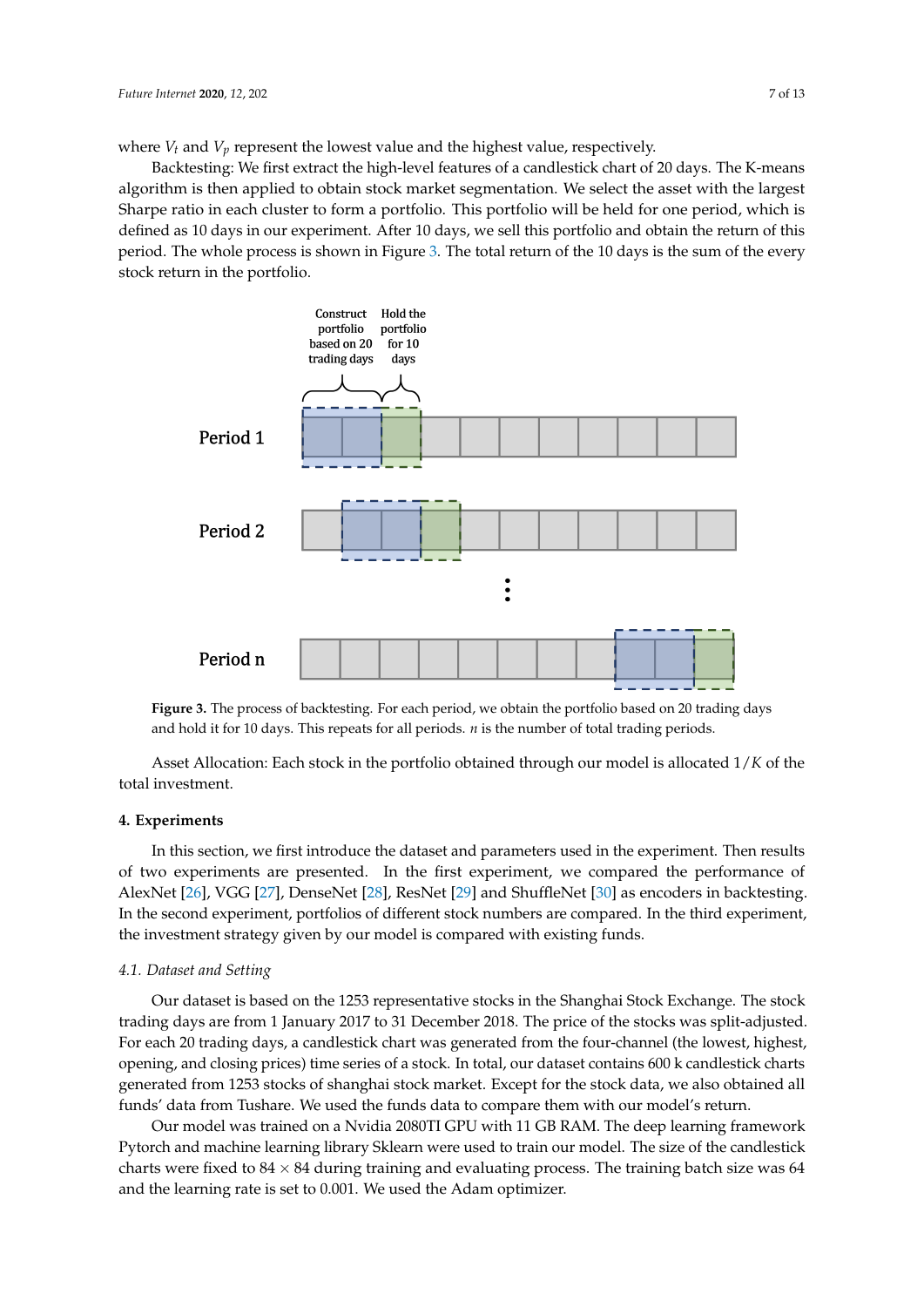where  $V_t$  and  $V_p$  represent the lowest value and the highest value, respectively.

Backtesting: We first extract the high-level features of a candlestick chart of 20 days. The K-means algorithm is then applied to obtain stock market segmentation. We select the asset with the largest Sharpe ratio in each cluster to form a portfolio. This portfolio will be held for one period, which is defined as 10 days in our experiment. After 10 days, we sell this portfolio and obtain the return of this period. The whole process is shown in Figure [3.](#page-6-1) The total return of the 10 days is the sum of the every stock return in the portfolio.

<span id="page-6-1"></span>

**Figure 3.** The process of backtesting. For each period, we obtain the portfolio based on 20 trading days and hold it for 10 days. This repeats for all periods. *n* is the number of total trading periods.

Asset Allocation: Each stock in the portfolio obtained through our model is allocated 1/*K* of the total investment.

## <span id="page-6-0"></span>**4. Experiments**

In this section, we first introduce the dataset and parameters used in the experiment. Then results of two experiments are presented. In the first experiment, we compared the performance of AlexNet [\[26\]](#page-12-0), VGG [\[27\]](#page-12-1), DenseNet [\[28\]](#page-12-2), ResNet [\[29\]](#page-12-3) and ShuffleNet [\[30\]](#page-12-4) as encoders in backtesting. In the second experiment, portfolios of different stock numbers are compared. In the third experiment, the investment strategy given by our model is compared with existing funds.

## *4.1. Dataset and Setting*

Our dataset is based on the 1253 representative stocks in the Shanghai Stock Exchange. The stock trading days are from 1 January 2017 to 31 December 2018. The price of the stocks was split-adjusted. For each 20 trading days, a candlestick chart was generated from the four-channel (the lowest, highest, opening, and closing prices) time series of a stock. In total, our dataset contains 600 k candlestick charts generated from 1253 stocks of shanghai stock market. Except for the stock data, we also obtained all funds' data from Tushare. We used the funds data to compare them with our model's return.

Our model was trained on a Nvidia 2080TI GPU with 11 GB RAM. The deep learning framework Pytorch and machine learning library Sklearn were used to train our model. The size of the candlestick charts were fixed to  $84 \times 84$  during training and evaluating process. The training batch size was 64 and the learning rate is set to 0.001. We used the Adam optimizer.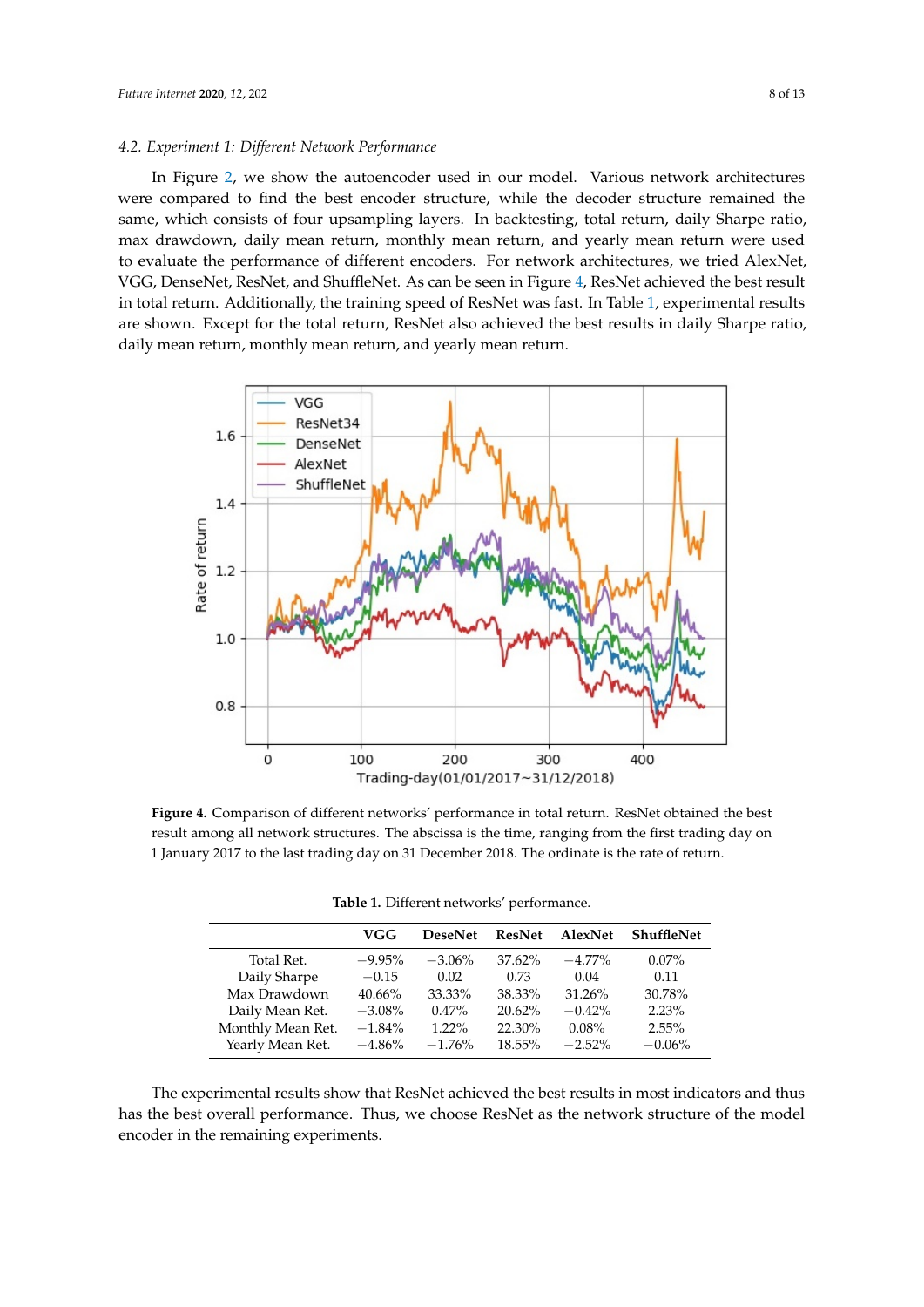#### *4.2. Experiment 1: Different Network Performance*

In Figure [2,](#page-4-1) we show the autoencoder used in our model. Various network architectures were compared to find the best encoder structure, while the decoder structure remained the same, which consists of four upsampling layers. In backtesting, total return, daily Sharpe ratio, max drawdown, daily mean return, monthly mean return, and yearly mean return were used to evaluate the performance of different encoders. For network architectures, we tried AlexNet, VGG, DenseNet, ResNet, and ShuffleNet. As can be seen in Figure [4,](#page-7-0) ResNet achieved the best result in total return. Additionally, the training speed of ResNet was fast. In Table [1,](#page-7-1) experimental results are shown. Except for the total return, ResNet also achieved the best results in daily Sharpe ratio, daily mean return, monthly mean return, and yearly mean return.

<span id="page-7-0"></span>

<span id="page-7-1"></span>**Figure 4.** Comparison of different networks' performance in total return. ResNet obtained the best result among all network structures. The abscissa is the time, ranging from the first trading day on 1 January 2017 to the last trading day on 31 December 2018. The ordinate is the rate of return.

| Table 1. Different networks' performance. |  |
|-------------------------------------------|--|
|-------------------------------------------|--|

|                   | VGG       | <b>DeseNet</b> | <b>ResNet</b> | AlexNet   | <b>ShuffleNet</b> |
|-------------------|-----------|----------------|---------------|-----------|-------------------|
| Total Ret.        | $-9.95%$  | $-3.06%$       | $37.62\%$     | $-4.77\%$ | $0.07\%$          |
| Daily Sharpe      | $-0.15$   | 0.02           | 0.73          | 0.04      | 0.11              |
| Max Drawdown      | 40.66%    | 33.33%         | 38.33%        | 31.26%    | 30.78%            |
| Daily Mean Ret.   | $-3.08%$  | $0.47\%$       | 20.62%        | $-0.42\%$ | 2.23%             |
| Monthly Mean Ret. | $-1.84\%$ | $1.22\%$       | 22.30%        | $0.08\%$  | $2.55\%$          |
| Yearly Mean Ret.  | $-4.86\%$ | $-1.76%$       | 18.55%        | $-2.52\%$ | $-0.06\%$         |

The experimental results show that ResNet achieved the best results in most indicators and thus has the best overall performance. Thus, we choose ResNet as the network structure of the model encoder in the remaining experiments.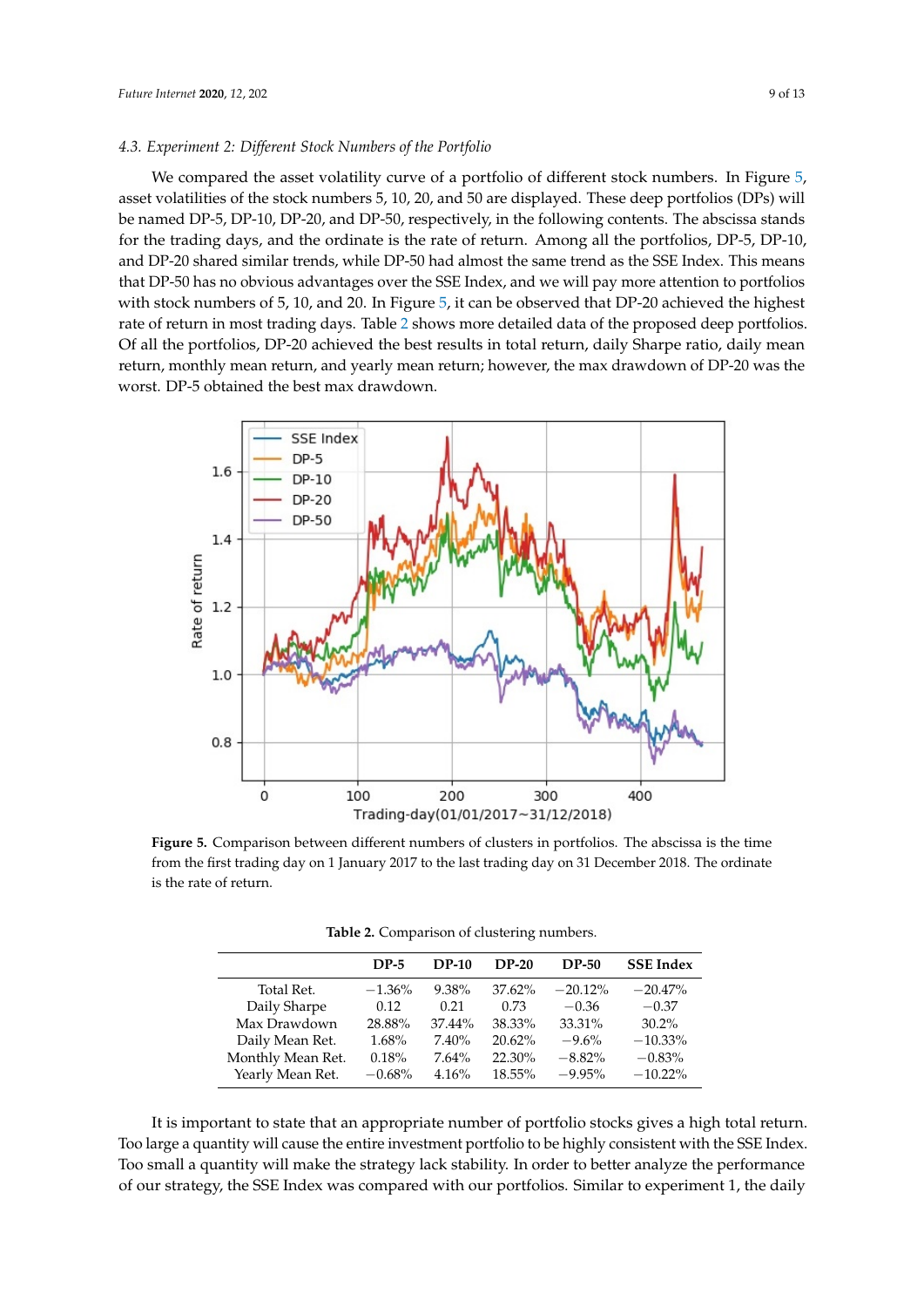#### *4.3. Experiment 2: Different Stock Numbers of the Portfolio*

We compared the asset volatility curve of a portfolio of different stock numbers. In Figure [5,](#page-8-0) asset volatilities of the stock numbers 5, 10, 20, and 50 are displayed. These deep portfolios (DPs) will be named DP-5, DP-10, DP-20, and DP-50, respectively, in the following contents. The abscissa stands for the trading days, and the ordinate is the rate of return. Among all the portfolios, DP-5, DP-10, and DP-20 shared similar trends, while DP-50 had almost the same trend as the SSE Index. This means that DP-50 has no obvious advantages over the SSE Index, and we will pay more attention to portfolios with stock numbers of 5, 10, and 20. In Figure [5,](#page-8-0) it can be observed that DP-20 achieved the highest rate of return in most trading days. Table [2](#page-8-1) shows more detailed data of the proposed deep portfolios. Of all the portfolios, DP-20 achieved the best results in total return, daily Sharpe ratio, daily mean return, monthly mean return, and yearly mean return; however, the max drawdown of DP-20 was the worst. DP-5 obtained the best max drawdown.

<span id="page-8-0"></span>

<span id="page-8-1"></span>**Figure 5.** Comparison between different numbers of clusters in portfolios. The abscissa is the time from the first trading day on 1 January 2017 to the last trading day on 31 December 2018. The ordinate is the rate of return.

**Table 2.** Comparison of clustering numbers.

| <b>DP-5</b> | <b>DP-10</b> | $DP-20$   | <b>DP-50</b> | <b>SSE Index</b> |
|-------------|--------------|-----------|--------------|------------------|
| $-1.36\%$   | $9.38\%$     | $37.62\%$ | $-20.12\%$   | $-20.47%$        |
| 0.12        | 0.21         | 0.73      | $-0.36$      | $-0.37$          |
| 28.88%      | 37.44%       | 38.33%    | 33.31%       | $30.2\%$         |
| 1.68%       | 7.40%        | 20.62%    | $-9.6%$      | $-10.33\%$       |
| 0.18%       | $7.64\%$     | 22.30%    | $-8.82%$     | $-0.83%$         |
| $-0.68%$    | 4.16%        | 18.55%    | $-9.95%$     | $-10.22\%$       |
|             |              |           |              |                  |

It is important to state that an appropriate number of portfolio stocks gives a high total return. Too large a quantity will cause the entire investment portfolio to be highly consistent with the SSE Index. Too small a quantity will make the strategy lack stability. In order to better analyze the performance of our strategy, the SSE Index was compared with our portfolios. Similar to experiment 1, the daily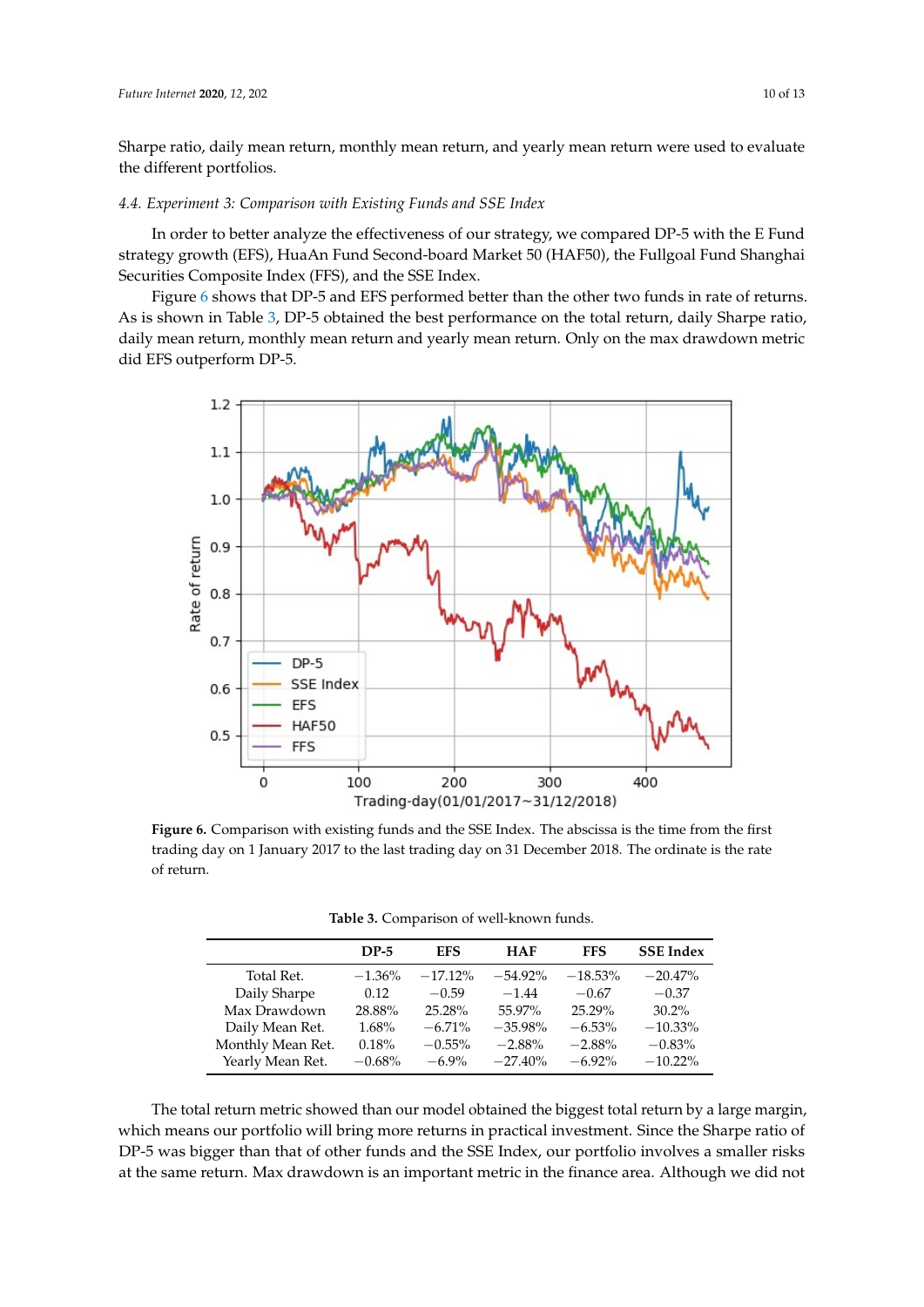Sharpe ratio, daily mean return, monthly mean return, and yearly mean return were used to evaluate the different portfolios.

## <span id="page-9-2"></span>*4.4. Experiment 3: Comparison with Existing Funds and SSE Index*

In order to better analyze the effectiveness of our strategy, we compared DP-5 with the E Fund strategy growth (EFS), HuaAn Fund Second-board Market 50 (HAF50), the Fullgoal Fund Shanghai Securities Composite Index (FFS), and the SSE Index.

Figure [6](#page-9-0) shows that DP-5 and EFS performed better than the other two funds in rate of returns. As is shown in Table [3,](#page-9-1) DP-5 obtained the best performance on the total return, daily Sharpe ratio, daily mean return, monthly mean return and yearly mean return. Only on the max drawdown metric did EFS outperform DP-5.

<span id="page-9-0"></span>

<span id="page-9-1"></span>**Figure 6.** Comparison with existing funds and the SSE Index. The abscissa is the time from the first trading day on 1 January 2017 to the last trading day on 31 December 2018. The ordinate is the rate of return.

**Table 3.** Comparison of well-known funds.

| <b>DP-5</b> | <b>EFS</b> | <b>HAF</b> | <b>FFS</b> | <b>SSE Index</b> |
|-------------|------------|------------|------------|------------------|
| $-1.36\%$   | $-17.12\%$ | $-54.92%$  | $-18.53\%$ | $-20.47\%$       |
| 0.12        | $-0.59$    | $-1.44$    | $-0.67$    | $-0.37$          |
| 28.88%      | 25.28%     | 55.97%     | 25.29%     | $30.2\%$         |
| 1.68%       | $-6.71\%$  | $-35.98%$  | $-6.53\%$  | $-10.33\%$       |
| 0.18%       | $-0.55\%$  | $-2.88%$   | $-2.88%$   | $-0.83\%$        |
| $-0.68%$    | $-6.9\%$   | $-27.40%$  | $-6.92\%$  | $-10.22\%$       |
|             |            |            |            |                  |

The total return metric showed than our model obtained the biggest total return by a large margin, which means our portfolio will bring more returns in practical investment. Since the Sharpe ratio of DP-5 was bigger than that of other funds and the SSE Index, our portfolio involves a smaller risks at the same return. Max drawdown is an important metric in the finance area. Although we did not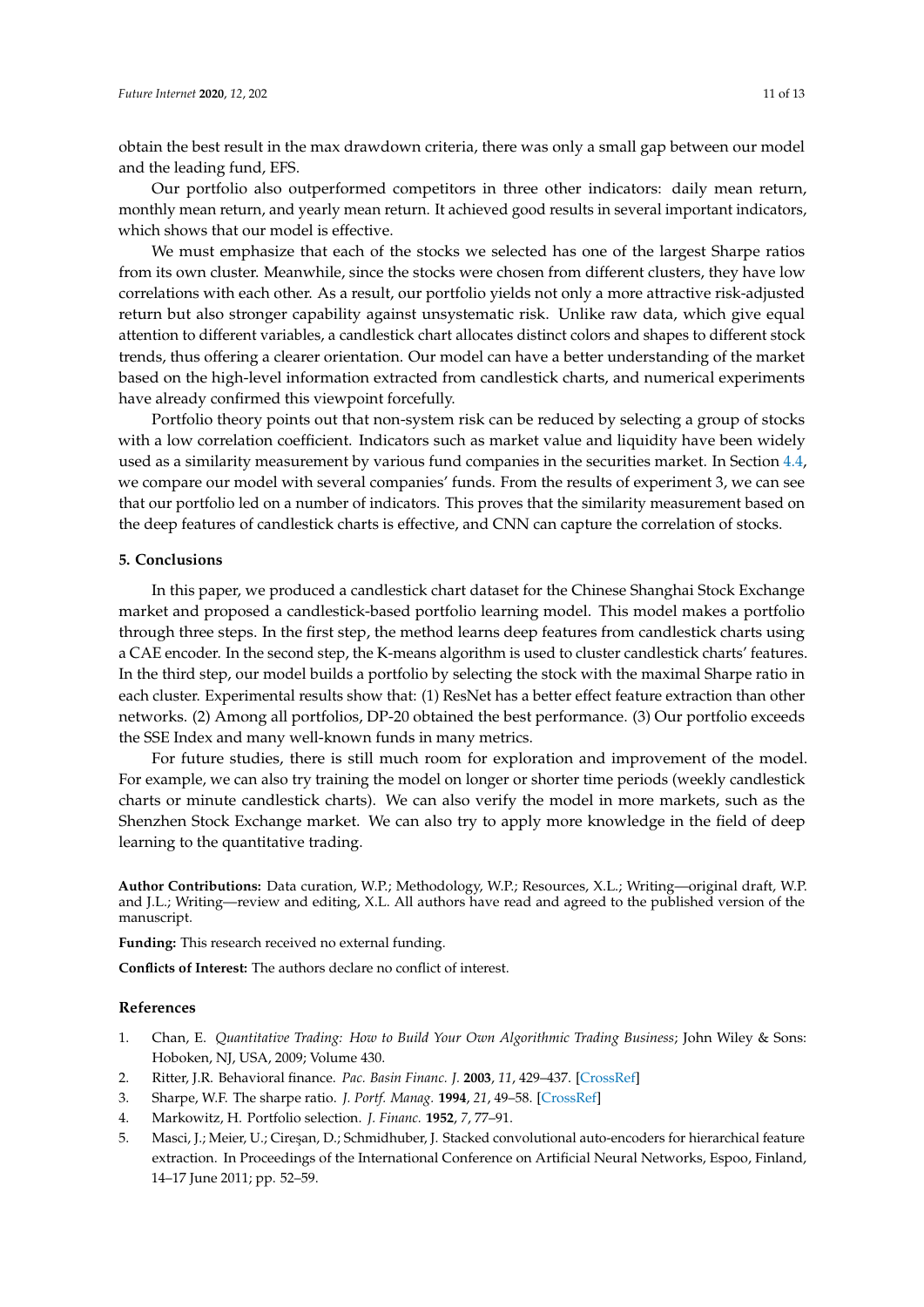obtain the best result in the max drawdown criteria, there was only a small gap between our model and the leading fund, EFS.

Our portfolio also outperformed competitors in three other indicators: daily mean return, monthly mean return, and yearly mean return. It achieved good results in several important indicators, which shows that our model is effective.

We must emphasize that each of the stocks we selected has one of the largest Sharpe ratios from its own cluster. Meanwhile, since the stocks were chosen from different clusters, they have low correlations with each other. As a result, our portfolio yields not only a more attractive risk-adjusted return but also stronger capability against unsystematic risk. Unlike raw data, which give equal attention to different variables, a candlestick chart allocates distinct colors and shapes to different stock trends, thus offering a clearer orientation. Our model can have a better understanding of the market based on the high-level information extracted from candlestick charts, and numerical experiments have already confirmed this viewpoint forcefully.

Portfolio theory points out that non-system risk can be reduced by selecting a group of stocks with a low correlation coefficient. Indicators such as market value and liquidity have been widely used as a similarity measurement by various fund companies in the securities market. In Section [4.4,](#page-9-2) we compare our model with several companies' funds. From the results of experiment 3, we can see that our portfolio led on a number of indicators. This proves that the similarity measurement based on the deep features of candlestick charts is effective, and CNN can capture the correlation of stocks.

#### <span id="page-10-5"></span>**5. Conclusions**

In this paper, we produced a candlestick chart dataset for the Chinese Shanghai Stock Exchange market and proposed a candlestick-based portfolio learning model. This model makes a portfolio through three steps. In the first step, the method learns deep features from candlestick charts using a CAE encoder. In the second step, the K-means algorithm is used to cluster candlestick charts' features. In the third step, our model builds a portfolio by selecting the stock with the maximal Sharpe ratio in each cluster. Experimental results show that: (1) ResNet has a better effect feature extraction than other networks. (2) Among all portfolios, DP-20 obtained the best performance. (3) Our portfolio exceeds the SSE Index and many well-known funds in many metrics.

For future studies, there is still much room for exploration and improvement of the model. For example, we can also try training the model on longer or shorter time periods (weekly candlestick charts or minute candlestick charts). We can also verify the model in more markets, such as the Shenzhen Stock Exchange market. We can also try to apply more knowledge in the field of deep learning to the quantitative trading.

**Author Contributions:** Data curation, W.P.; Methodology, W.P.; Resources, X.L.; Writing—original draft, W.P. and J.L.; Writing—review and editing, X.L. All authors have read and agreed to the published version of the manuscript.

**Funding:** This research received no external funding.

**Conflicts of Interest:** The authors declare no conflict of interest.

#### **References**

- <span id="page-10-0"></span>1. Chan, E. *Quantitative Trading: How to Build Your Own Algorithmic Trading Business*; John Wiley & Sons: Hoboken, NJ, USA, 2009; Volume 430.
- <span id="page-10-1"></span>2. Ritter, J.R. Behavioral finance. *Pac. Basin Financ. J.* **2003**, *11*, 429–437. [\[CrossRef\]](http://dx.doi.org/10.1016/S0927-538X(03)00048-9)
- <span id="page-10-2"></span>3. Sharpe, W.F. The sharpe ratio. *J. Portf. Manag.* **1994**, *21*, 49–58. [\[CrossRef\]](http://dx.doi.org/10.3905/jpm.1994.409501)
- <span id="page-10-3"></span>4. Markowitz, H. Portfolio selection. *J. Financ.* **1952**, *7*, 77–91.
- <span id="page-10-4"></span>5. Masci, J.; Meier, U.; Cire¸san, D.; Schmidhuber, J. Stacked convolutional auto-encoders for hierarchical feature extraction. In Proceedings of the International Conference on Artificial Neural Networks, Espoo, Finland, 14–17 June 2011; pp. 52–59.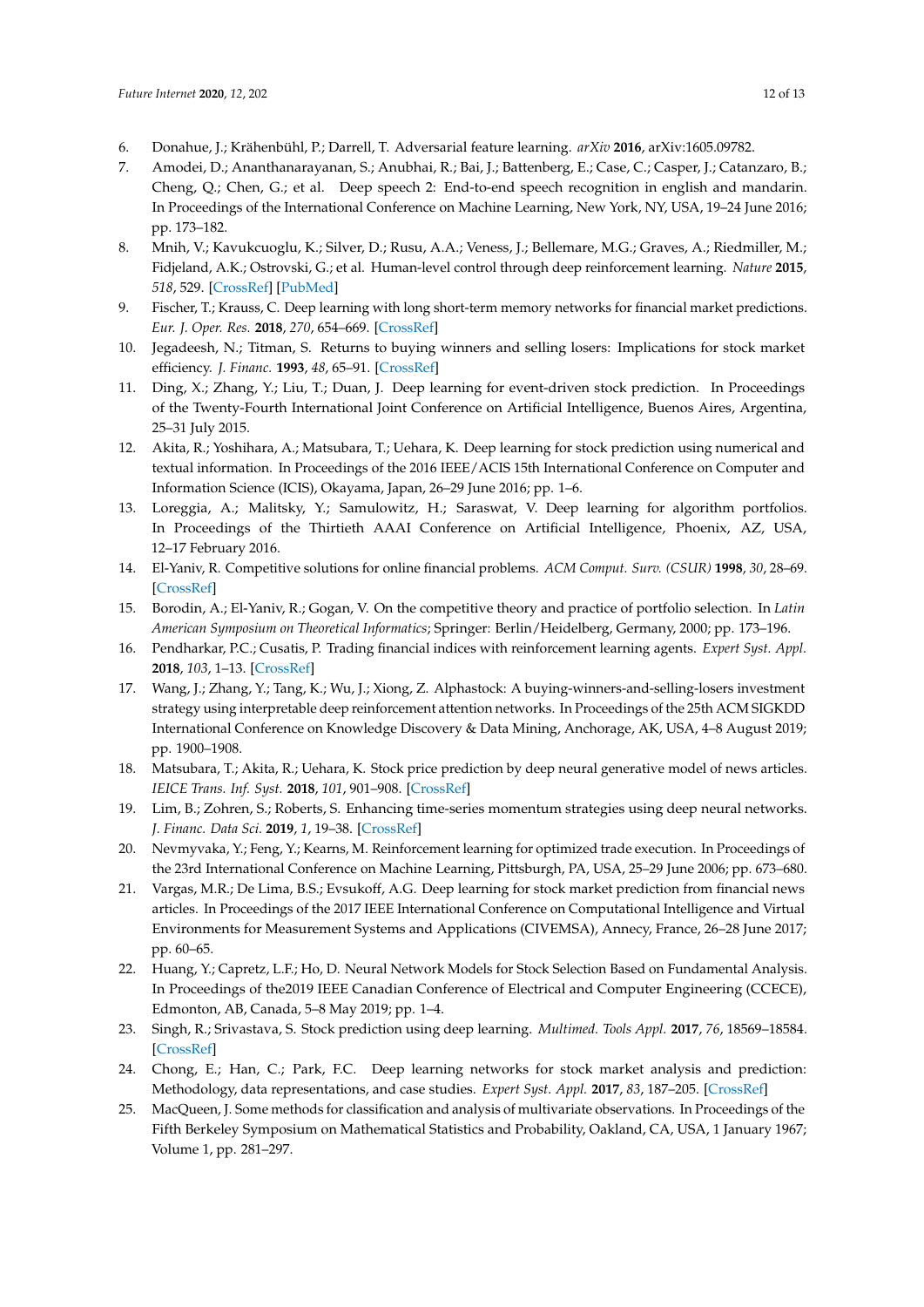- <span id="page-11-0"></span>6. Donahue, J.; Krähenbühl, P.; Darrell, T. Adversarial feature learning. *arXiv* **2016**, arXiv:1605.09782.
- <span id="page-11-1"></span>7. Amodei, D.; Ananthanarayanan, S.; Anubhai, R.; Bai, J.; Battenberg, E.; Case, C.; Casper, J.; Catanzaro, B.; Cheng, Q.; Chen, G.; et al. Deep speech 2: End-to-end speech recognition in english and mandarin. In Proceedings of the International Conference on Machine Learning, New York, NY, USA, 19–24 June 2016; pp. 173–182.
- <span id="page-11-2"></span>8. Mnih, V.; Kavukcuoglu, K.; Silver, D.; Rusu, A.A.; Veness, J.; Bellemare, M.G.; Graves, A.; Riedmiller, M.; Fidjeland, A.K.; Ostrovski, G.; et al. Human-level control through deep reinforcement learning. *Nature* **2015**, *518*, 529. [\[CrossRef\]](http://dx.doi.org/10.1038/nature14236) [\[PubMed\]](http://www.ncbi.nlm.nih.gov/pubmed/25719670)
- <span id="page-11-3"></span>9. Fischer, T.; Krauss, C. Deep learning with long short-term memory networks for financial market predictions. *Eur. J. Oper. Res.* **2018**, *270*, 654–669. [\[CrossRef\]](http://dx.doi.org/10.1016/j.ejor.2017.11.054)
- <span id="page-11-4"></span>10. Jegadeesh, N.; Titman, S. Returns to buying winners and selling losers: Implications for stock market efficiency. *J. Financ.* **1993**, *48*, 65–91. [\[CrossRef\]](http://dx.doi.org/10.1111/j.1540-6261.1993.tb04702.x)
- <span id="page-11-5"></span>11. Ding, X.; Zhang, Y.; Liu, T.; Duan, J. Deep learning for event-driven stock prediction. In Proceedings of the Twenty-Fourth International Joint Conference on Artificial Intelligence, Buenos Aires, Argentina, 25–31 July 2015.
- <span id="page-11-6"></span>12. Akita, R.; Yoshihara, A.; Matsubara, T.; Uehara, K. Deep learning for stock prediction using numerical and textual information. In Proceedings of the 2016 IEEE/ACIS 15th International Conference on Computer and Information Science (ICIS), Okayama, Japan, 26–29 June 2016; pp. 1–6.
- <span id="page-11-7"></span>13. Loreggia, A.; Malitsky, Y.; Samulowitz, H.; Saraswat, V. Deep learning for algorithm portfolios. In Proceedings of the Thirtieth AAAI Conference on Artificial Intelligence, Phoenix, AZ, USA, 12–17 February 2016.
- <span id="page-11-8"></span>14. El-Yaniv, R. Competitive solutions for online financial problems. *ACM Comput. Surv. (CSUR)* **1998**, *30*, 28–69. [\[CrossRef\]](http://dx.doi.org/10.1145/274440.274442)
- <span id="page-11-9"></span>15. Borodin, A.; El-Yaniv, R.; Gogan, V. On the competitive theory and practice of portfolio selection. In *Latin American Symposium on Theoretical Informatics*; Springer: Berlin/Heidelberg, Germany, 2000; pp. 173–196.
- <span id="page-11-10"></span>16. Pendharkar, P.C.; Cusatis, P. Trading financial indices with reinforcement learning agents. *Expert Syst. Appl.* **2018**, *103*, 1–13. [\[CrossRef\]](http://dx.doi.org/10.1016/j.eswa.2018.02.032)
- <span id="page-11-11"></span>17. Wang, J.; Zhang, Y.; Tang, K.; Wu, J.; Xiong, Z. Alphastock: A buying-winners-and-selling-losers investment strategy using interpretable deep reinforcement attention networks. In Proceedings of the 25th ACM SIGKDD International Conference on Knowledge Discovery & Data Mining, Anchorage, AK, USA, 4–8 August 2019; pp. 1900–1908.
- <span id="page-11-12"></span>18. Matsubara, T.; Akita, R.; Uehara, K. Stock price prediction by deep neural generative model of news articles. *IEICE Trans. Inf. Syst.* **2018**, *101*, 901–908. [\[CrossRef\]](http://dx.doi.org/10.1587/transinf.2016IIP0016)
- <span id="page-11-13"></span>19. Lim, B.; Zohren, S.; Roberts, S. Enhancing time-series momentum strategies using deep neural networks. *J. Financ. Data Sci.* **2019**, *1*, 19–38. [\[CrossRef\]](http://dx.doi.org/10.3905/jfds.2019.1.015)
- <span id="page-11-14"></span>20. Nevmyvaka, Y.; Feng, Y.; Kearns, M. Reinforcement learning for optimized trade execution. In Proceedings of the 23rd International Conference on Machine Learning, Pittsburgh, PA, USA, 25–29 June 2006; pp. 673–680.
- <span id="page-11-15"></span>21. Vargas, M.R.; De Lima, B.S.; Evsukoff, A.G. Deep learning for stock market prediction from financial news articles. In Proceedings of the 2017 IEEE International Conference on Computational Intelligence and Virtual Environments for Measurement Systems and Applications (CIVEMSA), Annecy, France, 26–28 June 2017; pp. 60–65.
- <span id="page-11-16"></span>22. Huang, Y.; Capretz, L.F.; Ho, D. Neural Network Models for Stock Selection Based on Fundamental Analysis. In Proceedings of the2019 IEEE Canadian Conference of Electrical and Computer Engineering (CCECE), Edmonton, AB, Canada, 5–8 May 2019; pp. 1–4.
- <span id="page-11-17"></span>23. Singh, R.; Srivastava, S. Stock prediction using deep learning. *Multimed. Tools Appl.* **2017**, *76*, 18569–18584. [\[CrossRef\]](http://dx.doi.org/10.1007/s11042-016-4159-7)
- <span id="page-11-18"></span>24. Chong, E.; Han, C.; Park, F.C. Deep learning networks for stock market analysis and prediction: Methodology, data representations, and case studies. *Expert Syst. Appl.* **2017**, *83*, 187–205. [\[CrossRef\]](http://dx.doi.org/10.1016/j.eswa.2017.04.030)
- <span id="page-11-19"></span>25. MacQueen, J. Some methods for classification and analysis of multivariate observations. In Proceedings of the Fifth Berkeley Symposium on Mathematical Statistics and Probability, Oakland, CA, USA, 1 January 1967; Volume 1, pp. 281–297.